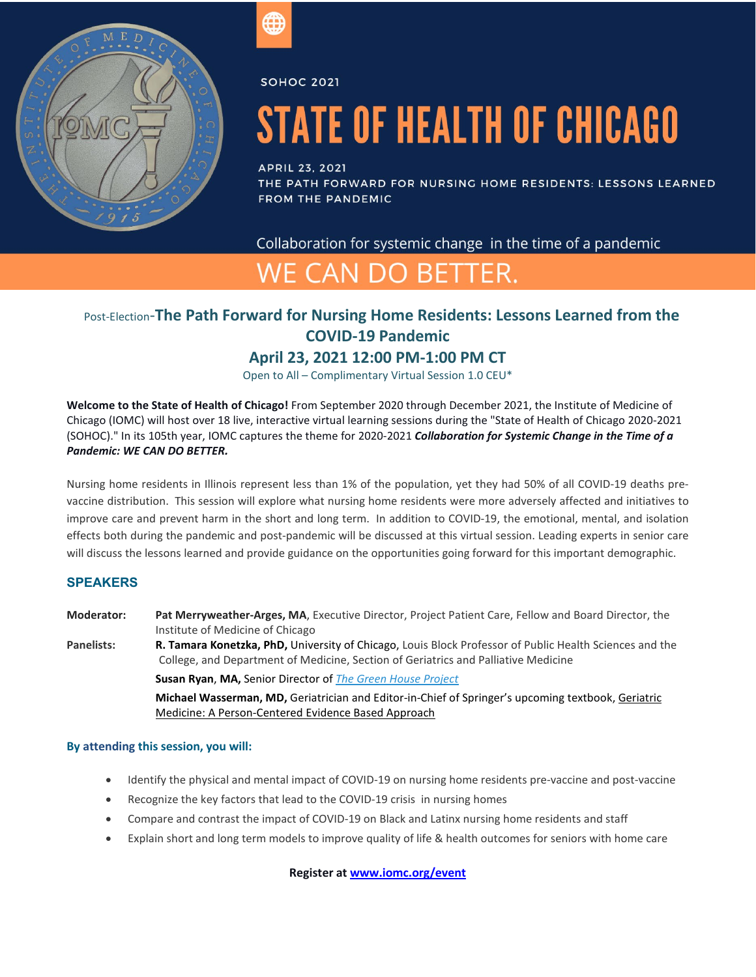

**SOHOC 2021** 

# **STATE OF HEALTH OF CHICAGO**

## **APRIL 23, 2021**

THE PATH FORWARD FOR NURSING HOME RESIDENTS: LESSONS LEARNED **FROM THE PANDEMIC** 

Collaboration for systemic change in the time of a pandemic

# WE CAN DO BETTER.

# Post-Election-**The Path Forward for Nursing Home Residents: Lessons Learned from the COVID-19 Pandemic**

# **April 23, 2021 12:00 PM-1:00 PM CT**

Open to All – Complimentary Virtual Session 1.0 CEU\*

**Welcome to the State of Health of Chicago!** From September 2020 through December 2021, the Institute of Medicine of Chicago (IOMC) will host over 18 live, interactive virtual learning sessions during the "State of Health of Chicago 2020-2021 (SOHOC)." In its 105th year, IOMC captures the theme for 2020-2021 *Collaboration for Systemic Change in the Time of a Pandemic: WE CAN DO BETTER.*

Nursing home residents in Illinois represent less than 1% of the population, yet they had 50% of all COVID-19 deaths prevaccine distribution. This session will explore what nursing home residents were more adversely affected and initiatives to improve care and prevent harm in the short and long term. In addition to COVID-19, the emotional, mental, and isolation effects both during the pandemic and post-pandemic will be discussed at this virtual session. Leading experts in senior care will discuss the lessons learned and provide guidance on the opportunities going forward for this important demographic.

# **SPEAKERS**

**Moderator: Pat Merryweather-Arges, MA**, Executive Director, Project Patient Care, Fellow and Board Director, the Institute of Medicine of Chicago

**Panelists: R. Tamara Konetzka, PhD,** University of Chicago, Louis Block Professor of Public Health Sciences and the College, and Department of Medicine, Section of Geriatrics and Palliative Medicine **Susan Ryan**, **MA,** Senior Director of *[The Green House Project](https://www.thegreenhouseproject.org/)*

> **Michael Wasserman, MD,** Geriatrician and Editor-in-Chief of Springer's upcoming textbook, Geriatric Medicine: A Person-Centered Evidence Based Approach

#### **By attending this session, you will:**

- Identify the physical and mental impact of COVID-19 on nursing home residents pre-vaccine and post-vaccine
- Recognize the key factors that lead to the COVID-19 crisis in nursing homes
- Compare and contrast the impact of COVID-19 on Black and Latinx nursing home residents and staff
- Explain short and long term models to improve quality of life & health outcomes for seniors with home care

**Register a[t www.iomc.org/event](https://iomc.org/event-4193704)**